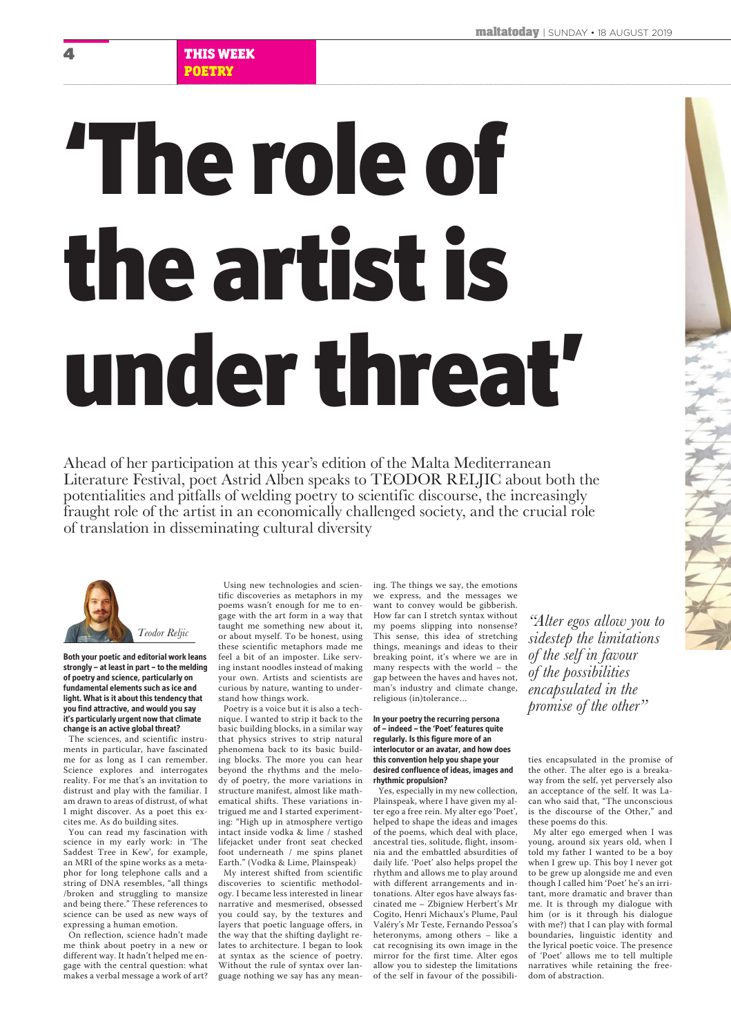**Both your poetic and editorial work leans strongly – at least in part – to the melding of poetry and science, particularly on fundamental elements such as ice and light. What is it about this tendency that you find attractive, and would you say it's particularly urgent now that climate change is an active global threat?** 

The sciences, and scientific instruments in particular, have fascinated me for as long as I can remember. Science explores and interrogates reality. For me that's an invitation to distrust and play with the familiar. I am drawn to areas of distrust, of what

I might discover. As a poet this excites me. As do building sites.

You can read my fascination with science in my early work: in 'The Saddest Tree in Kew', for example, an MRI of the spine works as a metaphor for long telephone calls and a string of DNA resembles, "all things /broken and struggling to mansize and being there." These references to science can be used as new ways of expressing a human emotion.

On reflection, science hadn't made me think about poetry in a new or different way. It hadn't helped me engage with the central question: what makes a verbal message a work of art?

Using new technologies and scientific discoveries as metaphors in my poems wasn't enough for me to engage with the art form in a way that taught me something new about it, or about myself. To be honest, using these scientific metaphors made me feel a bit of an imposter. Like serving instant noodles instead of making your own. Artists and scientists are curious by nature, wanting to understand how things work.

Poetry is a voice but it is also a technique. I wanted to strip it back to the basic building blocks, in a similar way that physics strives to strip natural phenomena back to its basic building blocks. The more you can hear beyond the rhythms and the melody of poetry, the more variations in structure manifest, almost like mathematical shifts. These variations intrigued me and I started experimenting: "High up in atmosphere vertigo intact inside vodka & lime / stashed lifejacket under front seat checked foot underneath / me spins planet Earth." (Vodka & Lime, Plainspeak) My interest shifted from scientific discoveries to scientific methodology. I became less interested in linear narrative and mesmerised, obsessed you could say, by the textures and layers that poetic language offers, in the way that the shifting daylight relates to architecture. I began to look at syntax as the science of poetry. Without the rule of syntax over language nothing we say has any meaning. The things we say, the emotions we express, and the messages we want to convey would be gibberish. How far can I stretch syntax without my poems slipping into nonsense? This sense, this idea of stretching things, meanings and ideas to their breaking point, it's where we are in many respects with the world – the gap between the haves and haves not, man's industry and climate change, religious (in)tolerance…

## **In your poetry the recurring persona of – indeed – the 'Poet' features quite regularly. Is this figure more of an interlocutor or an avatar, and how does this convention help you shape your desired confluence of ideas, images and rhythmic propulsion?**

Yes, especially in my new collection, Plainspeak, where I have given my alter ego a free rein. My alter ego 'Poet', helped to shape the ideas and images of the poems, which deal with place, ancestral ties, solitude, flight, insomnia and the embattled absurdities of daily life. 'Poet' also helps propel the rhythm and allows me to play around with different arrangements and intonations. Alter egos have always fascinated me – Zbigniew Herbert's Mr Cogito, Henri Michaux's Plume, Paul Valéry's Mr Teste, Fernando Pessoa's heteronyms, among others – like a cat recognising its own image in the mirror for the first time. Alter egos allow you to sidestep the limitations of the self in favour of the possibilities encapsulated in the promise of the other. The alter ego is a breakaway from the self, yet perversely also an acceptance of the self. It was Lacan who said that, "The unconscious

is the discourse of the Other," and these poems do this.

My alter ego emerged when I was young, around six years old, when I told my father I wanted to be a boy when I grew up. This boy I never got to be grew up alongside me and even though I called him 'Poet' he's an irritant, more dramatic and braver than me. It is through my dialogue with him (or is it through his dialogue with me?) that I can play with formal boundaries, linguistic identity and the lyrical poetic voice. The presence of 'Poet' allows me to tell multiple narratives while retaining the freedom of abstraction.

Ahead of her participation at this year's edition of the Malta Mediterranean Literature Festival, poet Astrid Alben speaks to TEODOR RELJIC about both the potentialities and pitfalls of welding poetry to scientific discourse, the increasingly fraught role of the artist in an economically challenged society, and the crucial role of translation in disseminating cultural diversity

## 'The role of the artist is under threat'

*"Alter egos allow you to sidestep the limitations of the self in favour of the possibilities encapsulated in the promise of the other"*